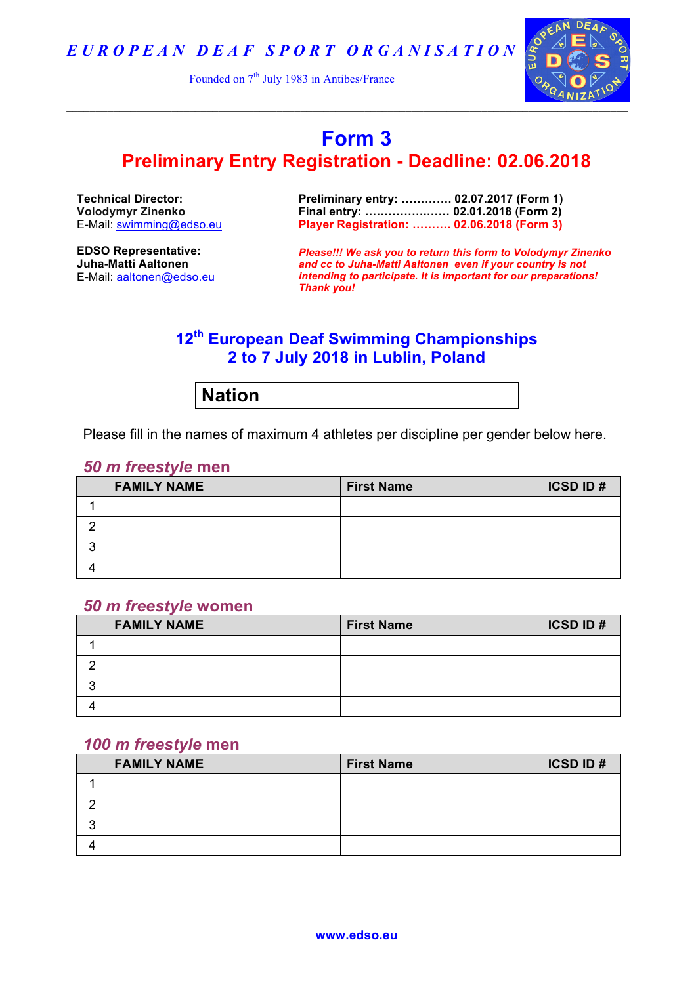Founded on  $7<sup>th</sup>$  July 1983 in Antibes/France



# **Form 3 Preliminary Entry Registration - Deadline: 02.06.2018**

**Technical Director: Volodymyr Zinenko** E-Mail: swimming@edso.eu

**EDSO Representative: Juha-Matti Aaltonen** E-Mail: aaltonen@edso.eu

**Preliminary entry: …………. 02.07.2017 (Form 1) Final entry: …………….…… 02.01.2018 (Form 2) Player Registration: ………. 02.06.2018 (Form 3)**

*Please!!! We ask you to return this form to Volodymyr Zinenko and cc to Juha-Matti Aaltonen even if your country is not intending to participate. It is important for our preparations! Thank you!*

# **12th European Deaf Swimming Championships 2 to 7 July 2018 in Lublin, Poland**



Please fill in the names of maximum 4 athletes per discipline per gender below here.

#### *50 m freestyle* **men**

|        | <b>FAMILY NAME</b> | <b>First Name</b> | ICSD ID# |
|--------|--------------------|-------------------|----------|
|        |                    |                   |          |
| ⌒      |                    |                   |          |
| ◠<br>ື |                    |                   |          |
|        |                    |                   |          |

#### *50 m freestyle* **women**

|   | <b>FAMILY NAME</b> | <b>First Name</b> | ICSD ID# |
|---|--------------------|-------------------|----------|
|   |                    |                   |          |
|   |                    |                   |          |
| ◠ |                    |                   |          |
|   |                    |                   |          |

#### *100 m freestyle* **men**

|         | <b>FAMILY NAME</b> | <b>First Name</b> | ICSD ID# |
|---------|--------------------|-------------------|----------|
|         |                    |                   |          |
|         |                    |                   |          |
| n<br>s. |                    |                   |          |
|         |                    |                   |          |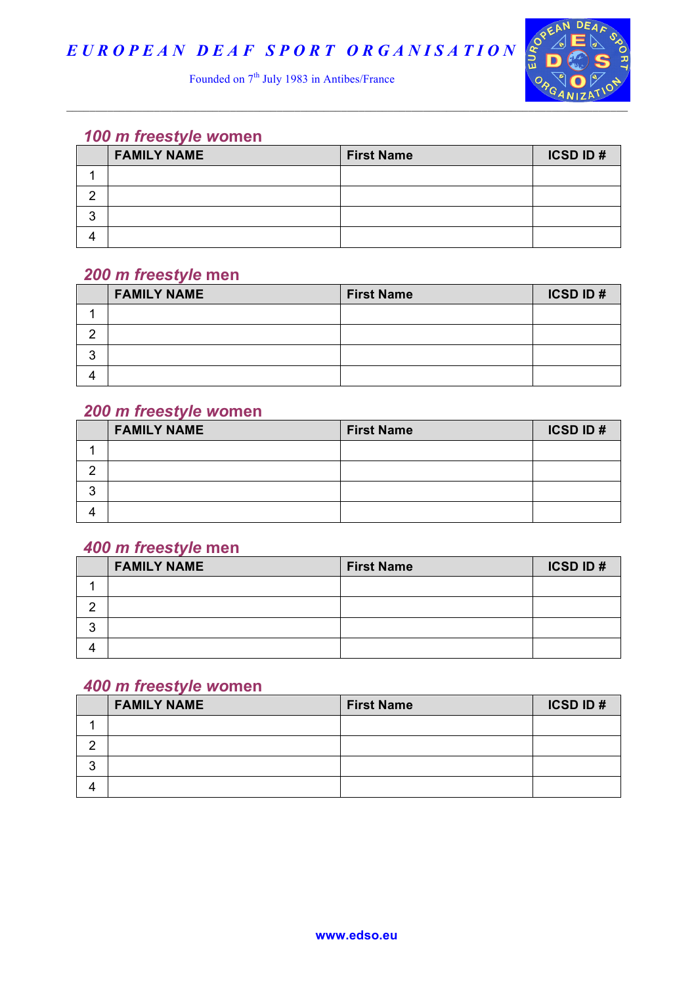

# *100 m freestyle wo***men**

| <b>FAMILY NAME</b> | <b>First Name</b> | ICSD ID# |
|--------------------|-------------------|----------|
|                    |                   |          |
|                    |                   |          |
|                    |                   |          |
|                    |                   |          |

## *200 m freestyle* **men**

|   | <b>FAMILY NAME</b> | <b>First Name</b> | ICSD ID# |
|---|--------------------|-------------------|----------|
|   |                    |                   |          |
|   |                    |                   |          |
| ◠ |                    |                   |          |
|   |                    |                   |          |

# *200 m freestyle wo***men**

|   | <b>FAMILY NAME</b> | <b>First Name</b> | ICSD ID# |
|---|--------------------|-------------------|----------|
|   |                    |                   |          |
|   |                    |                   |          |
| ◠ |                    |                   |          |
|   |                    |                   |          |

## *400 m freestyle* **men**

|         | <b>FAMILY NAME</b> | <b>First Name</b> | ICSD ID# |
|---------|--------------------|-------------------|----------|
|         |                    |                   |          |
|         |                    |                   |          |
| n<br>τ. |                    |                   |          |
|         |                    |                   |          |

# *400 m freestyle wo***men**

|   | <b>FAMILY NAME</b> | <b>First Name</b> | ICSD ID# |
|---|--------------------|-------------------|----------|
|   |                    |                   |          |
|   |                    |                   |          |
| ┍ |                    |                   |          |
|   |                    |                   |          |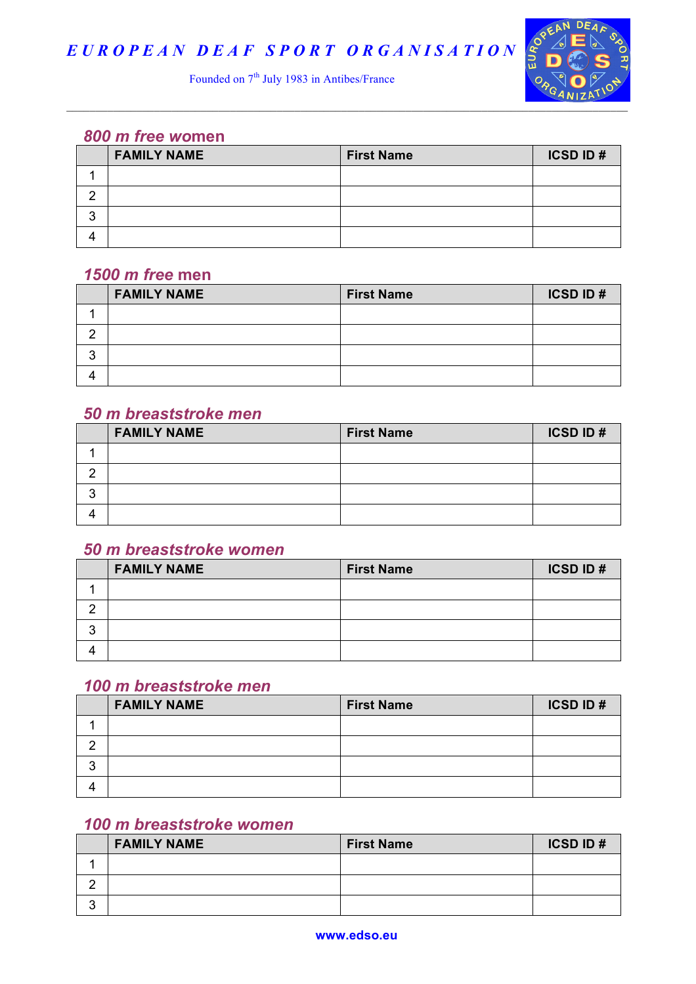

## *800 m free wo***men**

|   | <b>FAMILY NAME</b> | <b>First Name</b> | ICSD ID# |
|---|--------------------|-------------------|----------|
|   |                    |                   |          |
|   |                    |                   |          |
| c |                    |                   |          |
|   |                    |                   |          |

#### *1500 m free* **men**

|   | <b>FAMILY NAME</b> | <b>First Name</b> | ICSD ID# |
|---|--------------------|-------------------|----------|
|   |                    |                   |          |
|   |                    |                   |          |
| ┍ |                    |                   |          |
|   |                    |                   |          |

#### *50 m breaststroke men*

|   | <b>FAMILY NAME</b> | <b>First Name</b> | ICSD ID# |
|---|--------------------|-------------------|----------|
|   |                    |                   |          |
|   |                    |                   |          |
| ┍ |                    |                   |          |
|   |                    |                   |          |

### *50 m breaststroke women*

|         | <b>FAMILY NAME</b> | <b>First Name</b> | ICSD ID# |
|---------|--------------------|-------------------|----------|
|         |                    |                   |          |
|         |                    |                   |          |
| n<br>τ. |                    |                   |          |
|         |                    |                   |          |

# *100 m breaststroke men*

|   | <b>FAMILY NAME</b> | <b>First Name</b> | ICSD ID# |
|---|--------------------|-------------------|----------|
|   |                    |                   |          |
|   |                    |                   |          |
| ┍ |                    |                   |          |
|   |                    |                   |          |

#### *100 m breaststroke women*

|   | <b>FAMILY NAME</b> | <b>First Name</b> | ICSD ID# |
|---|--------------------|-------------------|----------|
|   |                    |                   |          |
|   |                    |                   |          |
| ັ |                    |                   |          |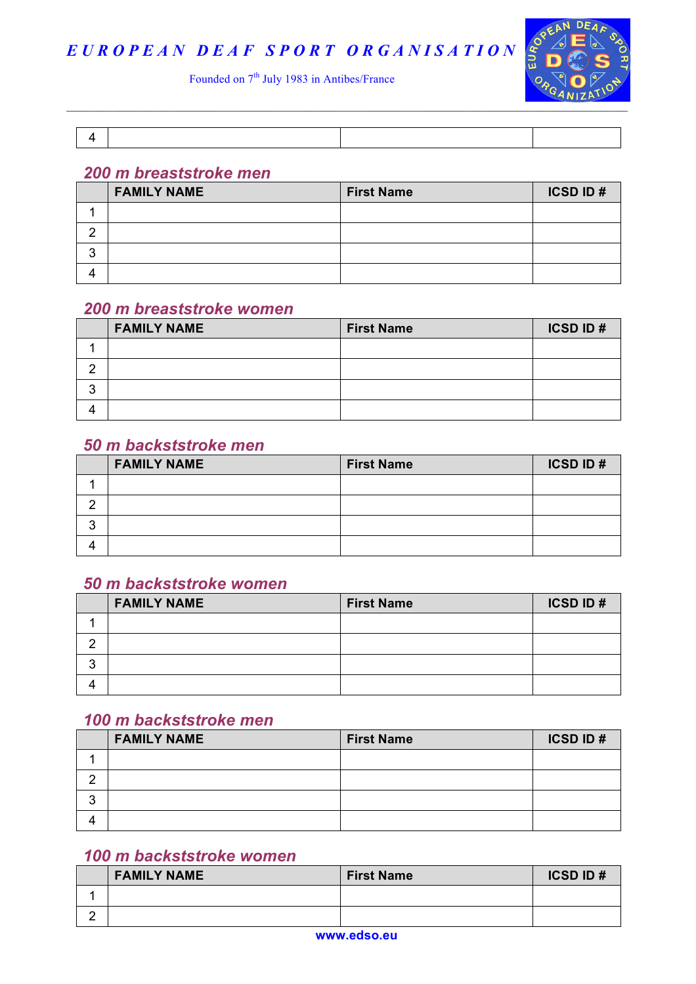

Founded on 7<sup>th</sup> July 1983 in Antibes/France

#### *200 m breaststroke men*

|   | <b>FAMILY NAME</b> | <b>First Name</b> | ICSD ID# |
|---|--------------------|-------------------|----------|
|   |                    |                   |          |
|   |                    |                   |          |
| ┍ |                    |                   |          |
|   |                    |                   |          |

## *200 m breaststroke women*

|        | <b>FAMILY NAME</b> | <b>First Name</b> | ICSD ID# |
|--------|--------------------|-------------------|----------|
|        |                    |                   |          |
|        |                    |                   |          |
| ◠<br>J |                    |                   |          |
|        |                    |                   |          |

### *50 m backststroke men*

|         | <b>FAMILY NAME</b> | <b>First Name</b> | ICSD ID# |
|---------|--------------------|-------------------|----------|
|         |                    |                   |          |
|         |                    |                   |          |
| n<br>τ. |                    |                   |          |
|         |                    |                   |          |

## *50 m backststroke women*

|         | <b>FAMILY NAME</b> | <b>First Name</b> | ICSD ID# |
|---------|--------------------|-------------------|----------|
|         |                    |                   |          |
|         |                    |                   |          |
| n<br>τ. |                    |                   |          |
|         |                    |                   |          |

### *100 m backststroke men*

|        | <b>FAMILY NAME</b> | <b>First Name</b> | ICSD ID# |
|--------|--------------------|-------------------|----------|
|        |                    |                   |          |
|        |                    |                   |          |
| ◠<br>J |                    |                   |          |
|        |                    |                   |          |

# *100 m backststroke women*

| <b>FAMILY NAME</b> | <b>First Name</b> | <b>ICSD ID#</b> |
|--------------------|-------------------|-----------------|
|                    |                   |                 |
|                    |                   |                 |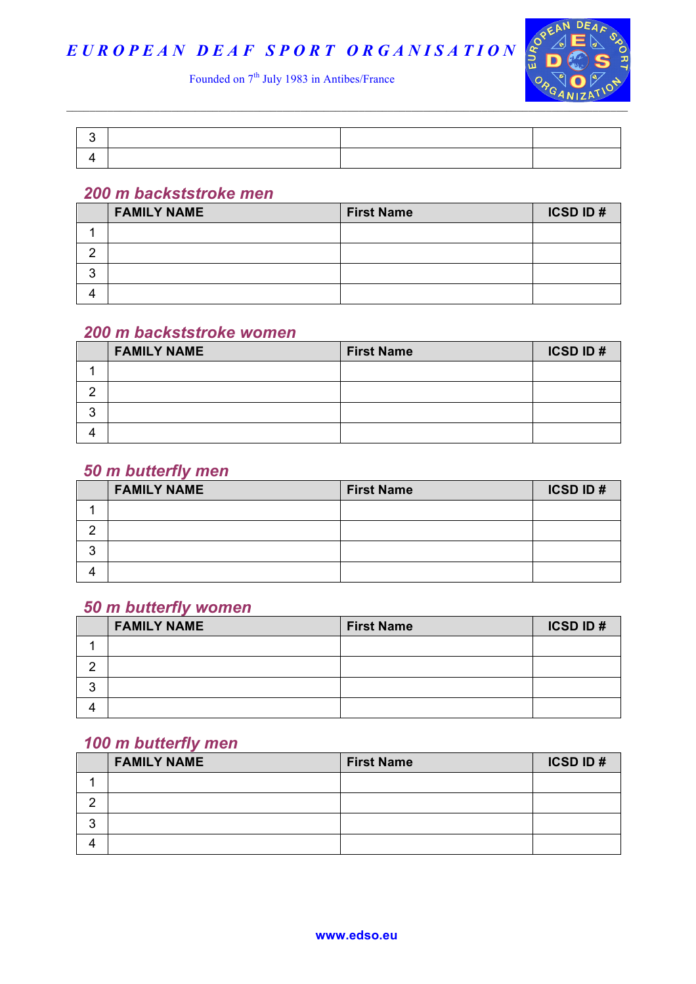

Founded on 7<sup>th</sup> July 1983 in Antibes/France

## *200 m backststroke men*

| <b>FAMILY NAME</b> | <b>First Name</b> | ICSD ID# |
|--------------------|-------------------|----------|
|                    |                   |          |
|                    |                   |          |
|                    |                   |          |
|                    |                   |          |

## *200 m backststroke women*

|   | <b>FAMILY NAME</b> | <b>First Name</b> | ICSD ID# |
|---|--------------------|-------------------|----------|
|   |                    |                   |          |
|   |                    |                   |          |
| , |                    |                   |          |
|   |                    |                   |          |

# *50 m butterfly men*

|   | <b>FAMILY NAME</b> | <b>First Name</b> | ICSD ID# |
|---|--------------------|-------------------|----------|
|   |                    |                   |          |
|   |                    |                   |          |
| n |                    |                   |          |
|   |                    |                   |          |

### *50 m butterfly women*

|        | <b>FAMILY NAME</b> | <b>First Name</b> | ICSD ID# |
|--------|--------------------|-------------------|----------|
|        |                    |                   |          |
|        |                    |                   |          |
| ◠<br>w |                    |                   |          |
|        |                    |                   |          |

### *100 m butterfly men*

|         | <b>FAMILY NAME</b> | <b>First Name</b> | ICSD ID# |
|---------|--------------------|-------------------|----------|
|         |                    |                   |          |
|         |                    |                   |          |
| ◠<br>τ. |                    |                   |          |
|         |                    |                   |          |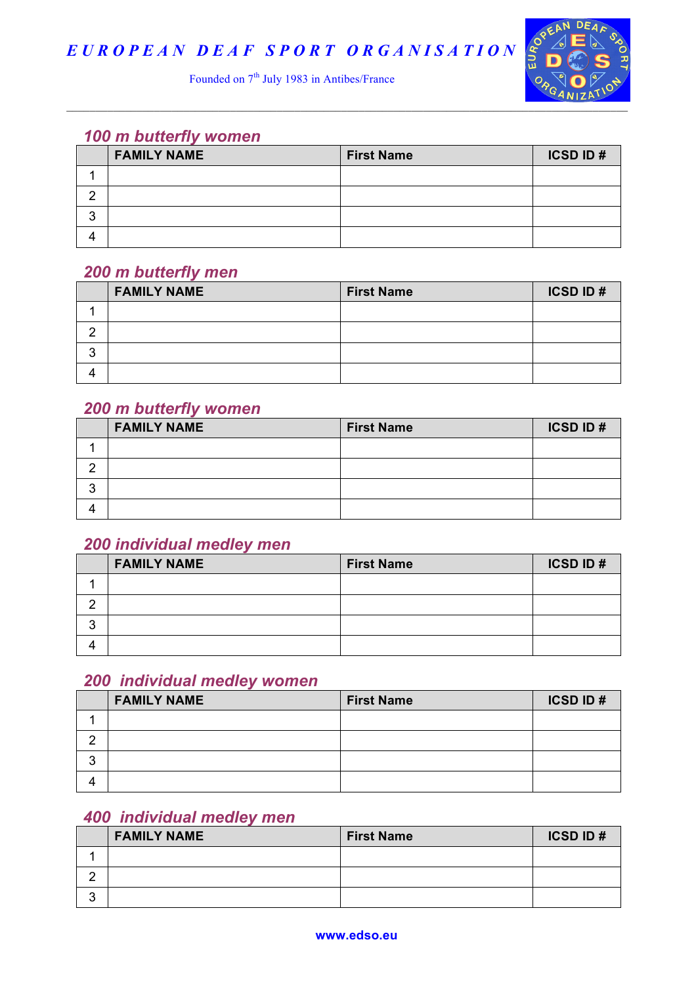

# *100 m butterfly women*

| <b>FAMILY NAME</b> | <b>First Name</b> | ICSD ID# |
|--------------------|-------------------|----------|
|                    |                   |          |
|                    |                   |          |
|                    |                   |          |
|                    |                   |          |

## 200 m butterfly men

| <b>FAMILY NAME</b> | <b>First Name</b> | ICSD ID# |
|--------------------|-------------------|----------|
|                    |                   |          |
|                    |                   |          |
|                    |                   |          |
|                    |                   |          |

# *200 m butterfly women*

|   | <b>FAMILY NAME</b> | <b>First Name</b> | ICSD ID# |
|---|--------------------|-------------------|----------|
|   |                    |                   |          |
|   |                    |                   |          |
| ◠ |                    |                   |          |
|   |                    |                   |          |

## *200 individual medley men*

|        | <b>FAMILY NAME</b> | <b>First Name</b> | ICSD ID# |
|--------|--------------------|-------------------|----------|
|        |                    |                   |          |
|        |                    |                   |          |
| ◠<br>J |                    |                   |          |
|        |                    |                   |          |

### *200 individual medley women*

|         | <b>FAMILY NAME</b> | <b>First Name</b> | ICSD ID# |
|---------|--------------------|-------------------|----------|
|         |                    |                   |          |
|         |                    |                   |          |
| ≏<br>J. |                    |                   |          |
|         |                    |                   |          |

# *400 individual medley men*

|        | <b>FAMILY NAME</b> | <b>First Name</b> | ICSD ID# |
|--------|--------------------|-------------------|----------|
|        |                    |                   |          |
|        |                    |                   |          |
| ົ<br>ັ |                    |                   |          |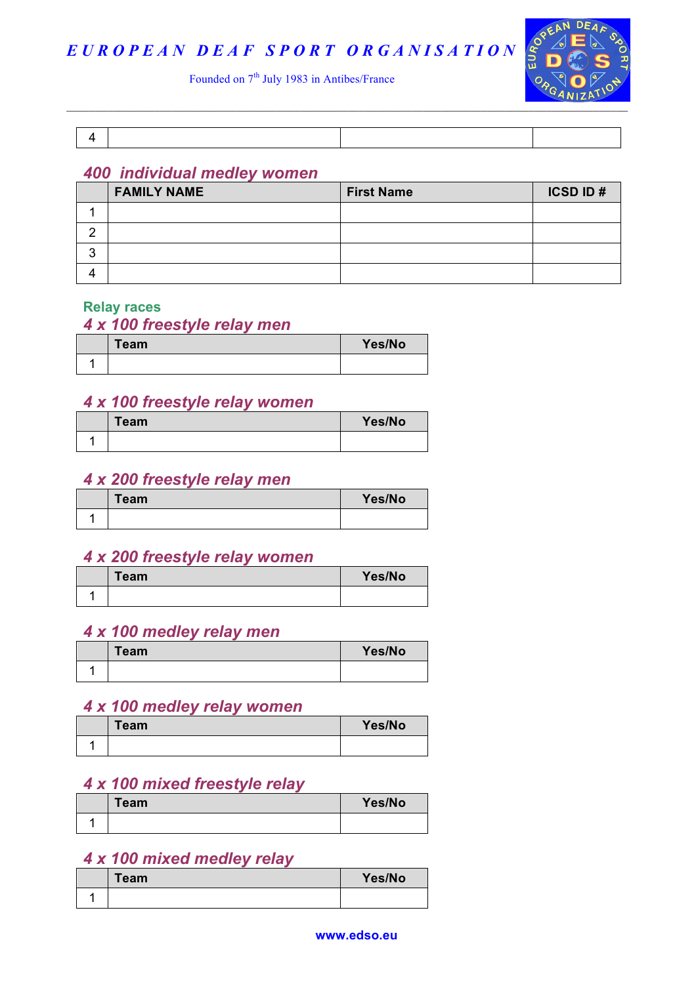

Founded on  $7<sup>th</sup>$  July 1983 in Antibes/France

### *400 individual medley women*

|   | <b>FAMILY NAME</b> | <b>First Name</b> | ICSD ID# |
|---|--------------------|-------------------|----------|
|   |                    |                   |          |
|   |                    |                   |          |
| , |                    |                   |          |
|   |                    |                   |          |

#### **Relay races**

#### *4 x 100 freestyle relay men*

| <b>Team</b> | Yes/No |
|-------------|--------|
|             |        |

### *4 x 100 freestyle relay women*

| Team |  | Yes/No |
|------|--|--------|
|      |  |        |

## *4 x 200 freestyle relay men*

| Team |  | Yes/No |
|------|--|--------|
|      |  |        |

### *4 x 200 freestyle relay women*

| <b>Team</b> |  | Yes/No |
|-------------|--|--------|
|             |  |        |

### *4 x 100 medley relay men*

| Team | Yes/No |
|------|--------|
|      |        |

#### *4 x 100 medley relay women*

| Team |  | Yes/No |
|------|--|--------|
|      |  |        |

## *4 x 100 mixed freestyle relay*

| ſeam | Yes/No |
|------|--------|
|      |        |

# *4 x 100 mixed medley relay*

| Team | Yes/No |
|------|--------|
|      |        |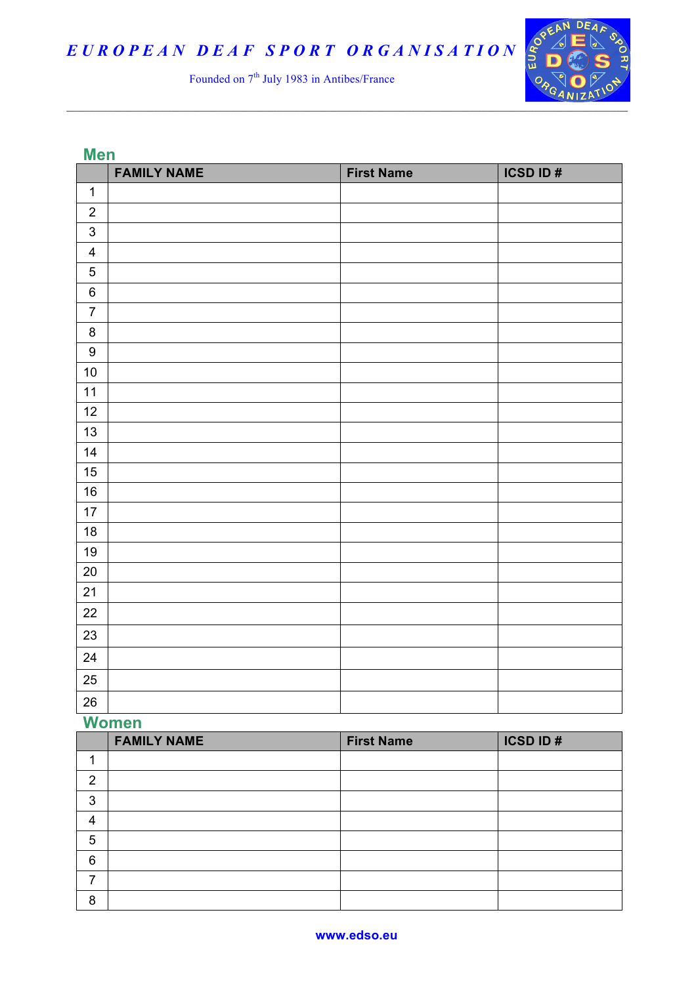

Founded on  $7^{\text{th}}$  July 1983 in Antibes/France

|                         | <b>Men</b>         |                   |                 |  |  |  |
|-------------------------|--------------------|-------------------|-----------------|--|--|--|
|                         | <b>FAMILY NAME</b> | <b>First Name</b> | <b>ICSD ID#</b> |  |  |  |
| $\mathbf 1$             |                    |                   |                 |  |  |  |
| $\mathbf 2$             |                    |                   |                 |  |  |  |
| $\mathfrak{S}$          |                    |                   |                 |  |  |  |
| $\overline{\mathbf{4}}$ |                    |                   |                 |  |  |  |
| $\sqrt{5}$              |                    |                   |                 |  |  |  |
| $\,6\,$                 |                    |                   |                 |  |  |  |
| $\overline{7}$          |                    |                   |                 |  |  |  |
| $\bf 8$                 |                    |                   |                 |  |  |  |
| $\boldsymbol{9}$        |                    |                   |                 |  |  |  |
| 10                      |                    |                   |                 |  |  |  |
| $11$                    |                    |                   |                 |  |  |  |
| 12                      |                    |                   |                 |  |  |  |
| 13                      |                    |                   |                 |  |  |  |
| 14                      |                    |                   |                 |  |  |  |
| 15                      |                    |                   |                 |  |  |  |
| 16                      |                    |                   |                 |  |  |  |
| $17$                    |                    |                   |                 |  |  |  |
| 18                      |                    |                   |                 |  |  |  |
| $19$                    |                    |                   |                 |  |  |  |
| 20                      |                    |                   |                 |  |  |  |
| 21                      |                    |                   |                 |  |  |  |
| 22                      |                    |                   |                 |  |  |  |
| 23                      |                    |                   |                 |  |  |  |
| 24                      |                    |                   |                 |  |  |  |
| 25                      |                    |                   |                 |  |  |  |
|                         |                    |                   |                 |  |  |  |
| 26                      |                    |                   |                 |  |  |  |

#### **Women**

|                | <b>FAMILY NAME</b> | <b>First Name</b> | ICSD ID# |
|----------------|--------------------|-------------------|----------|
|                |                    |                   |          |
| $\overline{2}$ |                    |                   |          |
| 3              |                    |                   |          |
| 4              |                    |                   |          |
| 5              |                    |                   |          |
| 6              |                    |                   |          |
| 7              |                    |                   |          |
| 8              |                    |                   |          |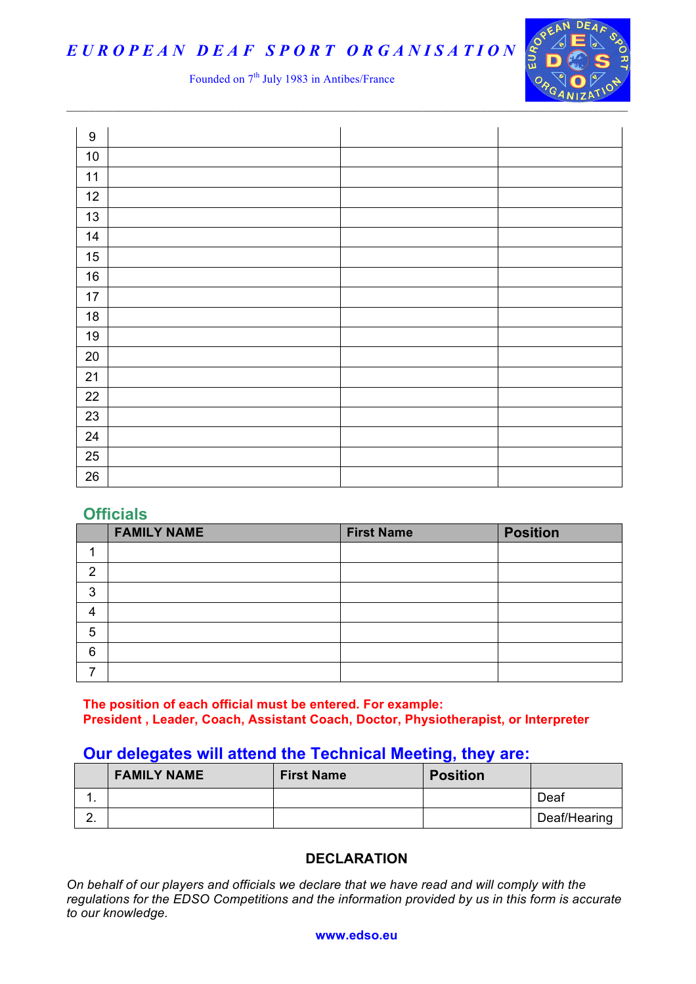

Founded on  $7<sup>th</sup>$  July 1983 in Antibes/France

| $\boldsymbol{9}$ |  |  |
|------------------|--|--|
| $10$             |  |  |
| 11               |  |  |
| 12               |  |  |
| 13               |  |  |
| 14               |  |  |
| 15               |  |  |
| 16               |  |  |
| 17               |  |  |
| 18               |  |  |
| 19               |  |  |
| 20               |  |  |
| 21               |  |  |
| 22               |  |  |
| 23               |  |  |
| 24               |  |  |
| 25               |  |  |
| 26               |  |  |

#### **Officials**

|   | <b>FAMILY NAME</b> | <b>First Name</b> | <b>Position</b> |
|---|--------------------|-------------------|-----------------|
|   |                    |                   |                 |
| 2 |                    |                   |                 |
| 3 |                    |                   |                 |
|   |                    |                   |                 |
| 5 |                    |                   |                 |
| 6 |                    |                   |                 |
|   |                    |                   |                 |

**The position of each official must be entered. For example: President , Leader, Coach, Assistant Coach, Doctor, Physiotherapist, or Interpreter**

## **Our delegates will attend the Technical Meeting, they are:**

|               | <b>FAMILY NAME</b> | <b>First Name</b> | <b>Position</b> |              |
|---------------|--------------------|-------------------|-----------------|--------------|
| . .           |                    |                   |                 | Deaf         |
| ົ<br><u>.</u> |                    |                   |                 | Deaf/Hearing |

#### **DECLARATION**

*On behalf of our players and officials we declare that we have read and will comply with the regulations for the EDSO Competitions and the information provided by us in this form is accurate to our knowledge.*